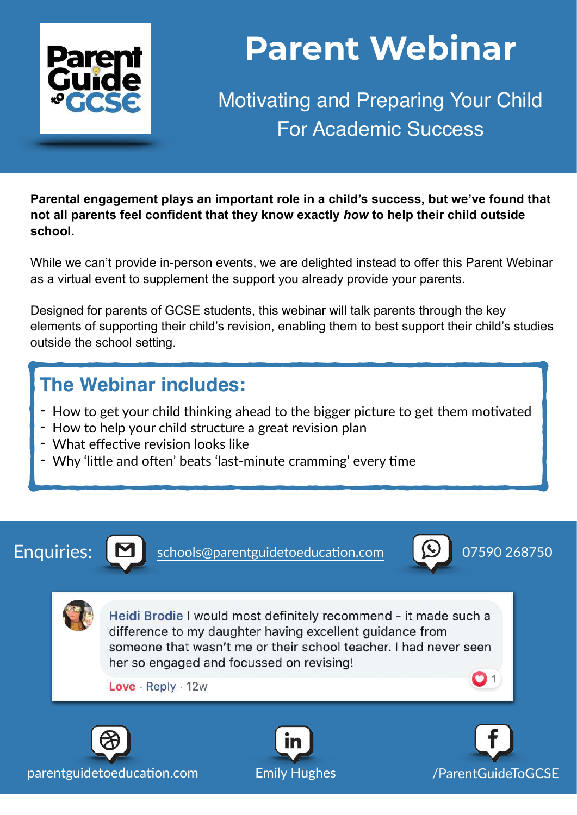

# **Parent Webinar**

Motivating and Preparing Your Child For Academic Success

**Parental engagement plays an important role in a child's success, but we've found that not all parents feel confident that they know exactly** *how* **to help their child outside school.** 

While we can't provide in-person events, we are delighted instead to offer this Parent Webinar as a virtual event to supplement the support you already provide your parents.

Designed for parents of GCSE students, this webinar will talk parents through the key elements of supporting their child's revision, enabling them to best support their child's studies outside the school setting.

### **The Webinar includes:**

- How to get your child thinking ahead to the bigger picture to get them motivated
- How to help your child structure a great revision plan
- What effective revision looks like
- Why 'little and often' beats 'last-minute cramming' every time



Enquiries:  $\boxed{\blacktriangle}$  schools@parentguidetoeducation.com  $\boxed{\blacktriangleright}$  07590 268750



Heidi Brodie I would most definitely recommend - it made such a difference to my daughter having excellent quidance from someone that wasn't me or their school teacher. I had never seen her so engaged and focussed on revising!

Love · Reply · 12w



parentguidetoeducation.com Emily Hughes [/ParentGuideToGCSE](https://www.facebook.com/parentguidetogcse)





 $\mathbf{O}$  1